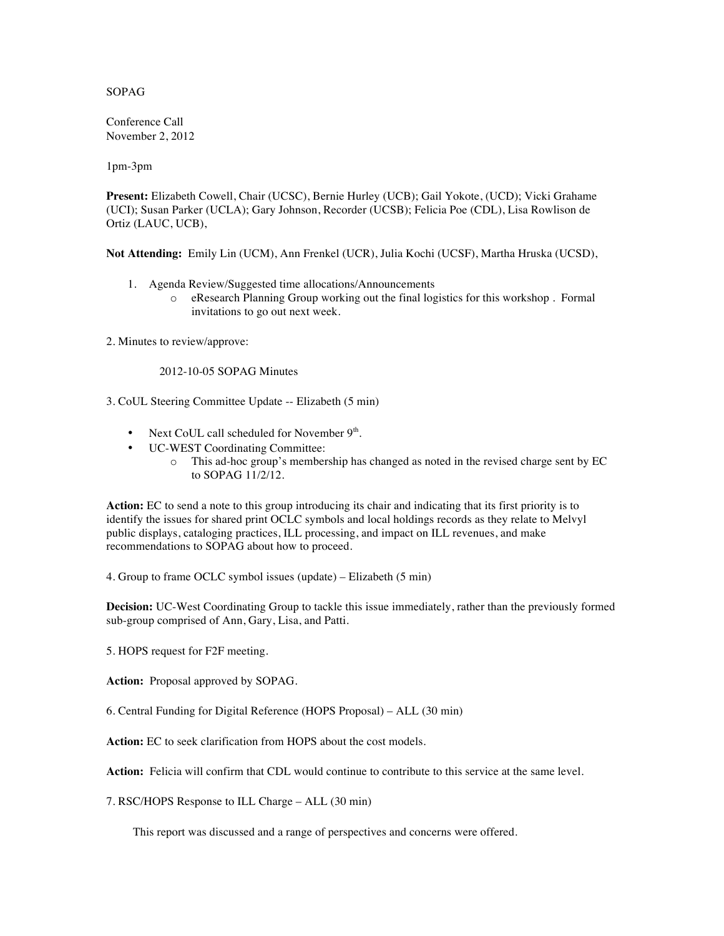## SOPAG

Conference Call November 2, 2012

1pm-3pm

**Present:** Elizabeth Cowell, Chair (UCSC), Bernie Hurley (UCB); Gail Yokote, (UCD); Vicki Grahame (UCI); Susan Parker (UCLA); Gary Johnson, Recorder (UCSB); Felicia Poe (CDL), Lisa Rowlison de Ortiz (LAUC, UCB),

**Not Attending:** Emily Lin (UCM), Ann Frenkel (UCR), Julia Kochi (UCSF), Martha Hruska (UCSD),

- 1. Agenda Review/Suggested time allocations/Announcements
	- o eResearch Planning Group working out the final logistics for this workshop . Formal invitations to go out next week.

2. Minutes to review/approve:

## 2012-10-05 SOPAG Minutes

3. CoUL Steering Committee Update -- Elizabeth (5 min)

- Next CoUL call scheduled for November  $9<sup>th</sup>$ .
- UC-WEST Coordinating Committee:
	- o This ad-hoc group's membership has changed as noted in the revised charge sent by EC to SOPAG 11/2/12.

**Action:** EC to send a note to this group introducing its chair and indicating that its first priority is to identify the issues for shared print OCLC symbols and local holdings records as they relate to Melvyl public displays, cataloging practices, ILL processing, and impact on ILL revenues, and make recommendations to SOPAG about how to proceed.

4. Group to frame OCLC symbol issues (update) – Elizabeth (5 min)

**Decision:** UC-West Coordinating Group to tackle this issue immediately, rather than the previously formed sub-group comprised of Ann, Gary, Lisa, and Patti.

5. HOPS request for F2F meeting.

**Action:** Proposal approved by SOPAG.

6. Central Funding for Digital Reference (HOPS Proposal) – ALL (30 min)

**Action:** EC to seek clarification from HOPS about the cost models.

Action: Felicia will confirm that CDL would continue to contribute to this service at the same level.

7. RSC/HOPS Response to ILL Charge – ALL (30 min)

This report was discussed and a range of perspectives and concerns were offered.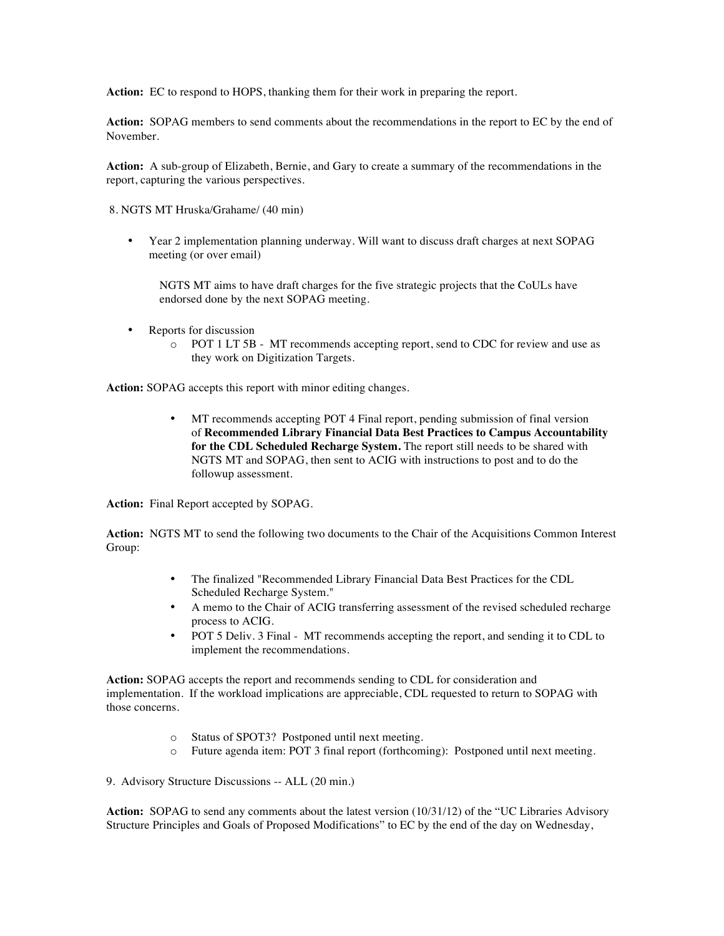**Action:** EC to respond to HOPS, thanking them for their work in preparing the report.

**Action:** SOPAG members to send comments about the recommendations in the report to EC by the end of November.

**Action:** A sub-group of Elizabeth, Bernie, and Gary to create a summary of the recommendations in the report, capturing the various perspectives.

8. NGTS MT Hruska/Grahame/ (40 min)

• Year 2 implementation planning underway. Will want to discuss draft charges at next SOPAG meeting (or over email)

NGTS MT aims to have draft charges for the five strategic projects that the CoULs have endorsed done by the next SOPAG meeting.

- Reports for discussion
	- o POT 1 LT 5B MT recommends accepting report, send to CDC for review and use as they work on Digitization Targets.

**Action:** SOPAG accepts this report with minor editing changes.

• MT recommends accepting POT 4 Final report, pending submission of final version of **Recommended Library Financial Data Best Practices to Campus Accountability for the CDL Scheduled Recharge System.** The report still needs to be shared with NGTS MT and SOPAG, then sent to ACIG with instructions to post and to do the followup assessment.

**Action:** Final Report accepted by SOPAG.

**Action:** NGTS MT to send the following two documents to the Chair of the Acquisitions Common Interest Group:

- The finalized "Recommended Library Financial Data Best Practices for the CDL Scheduled Recharge System."
- A memo to the Chair of ACIG transferring assessment of the revised scheduled recharge process to ACIG.
- POT 5 Deliv. 3 Final MT recommends accepting the report, and sending it to CDL to implement the recommendations.

**Action:** SOPAG accepts the report and recommends sending to CDL for consideration and implementation. If the workload implications are appreciable, CDL requested to return to SOPAG with those concerns.

- o Status of SPOT3? Postponed until next meeting.
- o Future agenda item: POT 3 final report (forthcoming): Postponed until next meeting.

9. Advisory Structure Discussions -- ALL (20 min.)

**Action:** SOPAG to send any comments about the latest version (10/31/12) of the "UC Libraries Advisory Structure Principles and Goals of Proposed Modifications" to EC by the end of the day on Wednesday,